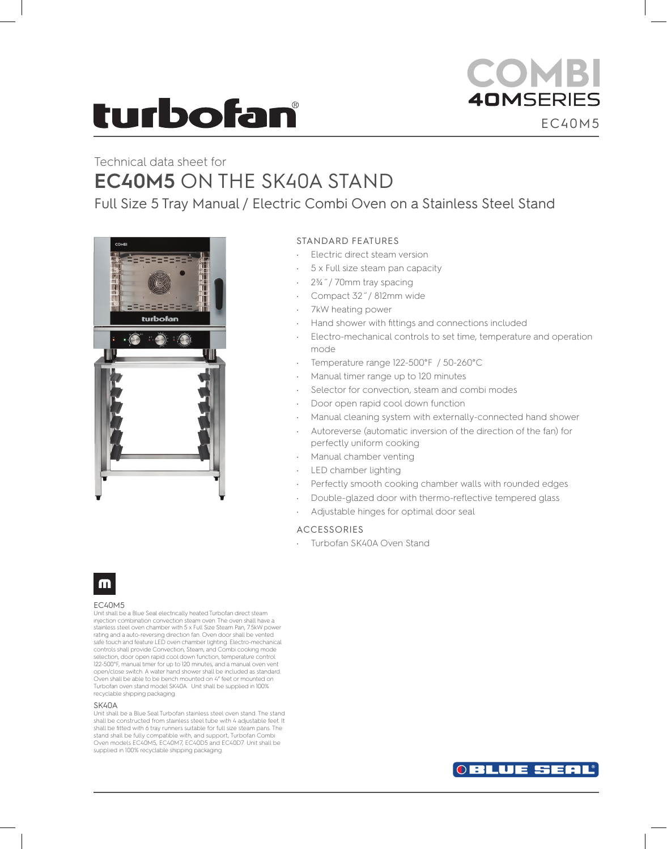# turbofan

## **COMBI 40MSERIES** EC40M5

## Technical data sheet for **EC40M5** ON THE SK40A STAND

Full Size 5 Tray Manual / Electric Combi Oven on a Stainless Steel Stand



### STANDARD FEATURES

- Electric direct steam version
- 5 x Full size steam pan capacity
- 2¾˝/ 70mm tray spacing
- Compact 32˝/ 812mm wide
- 7kW heating power
- Hand shower with fittings and connections included
- Electro-mechanical controls to set time, temperature and operation mode
- Temperature range 122-500°F / 50-260°C
- Manual timer range up to 120 minutes
- Selector for convection, steam and combi modes
- Door open rapid cool down function
- Manual cleaning system with externally-connected hand shower
- Autoreverse (automatic inversion of the direction of the fan) for perfectly uniform cooking
- Manual chamber venting
- LED chamber lighting
- Perfectly smooth cooking chamber walls with rounded edges
- Double-glazed door with thermo-reflective tempered glass
- Adjustable hinges for optimal door seal

### ACCESSORIES

Turbofan SK40A Oven Stand



#### EC40M5

Unit shall be a Blue Seal electrically heated Turbofan direct steam injection combination convection steam oven. The oven shall have a stainless steel oven chamber with 5 x Full Size Steam Pan, 7.5kW power rating and a auto-reversing direction fan. Oven door shall be vented safe touch and feature LED oven chamber lighting. Electro-mechanical controls shall provide Convection, Steam, and Combi cooking mode selection, door open rapid cool down function, temperature control 122-500°F, manual timer for up to 120 minutes, and a manual oven vent open/close switch. A water hand shower shall be included as standard. Oven shall be able to be bench mounted on 4" feet or mounted on Turbofan oven stand model SK40A. Unit shall be supplied in 100% recyclable shipping packaging.

#### SK40A

Unit shall be a Blue Seal Turbofan stainless steel oven stand. The stand shall be constructed from stainless steel tube with 4 adjustable feet. It shall be fitted with 6 tray runners suitable for full size steam pans. The stand shall be fully compatible with, and support, Turbofan Combi Oven models EC40M5, EC40M7, EC40D5 and EC40D7. Unit shall be supplied in 100% recyclable shipping packaging.